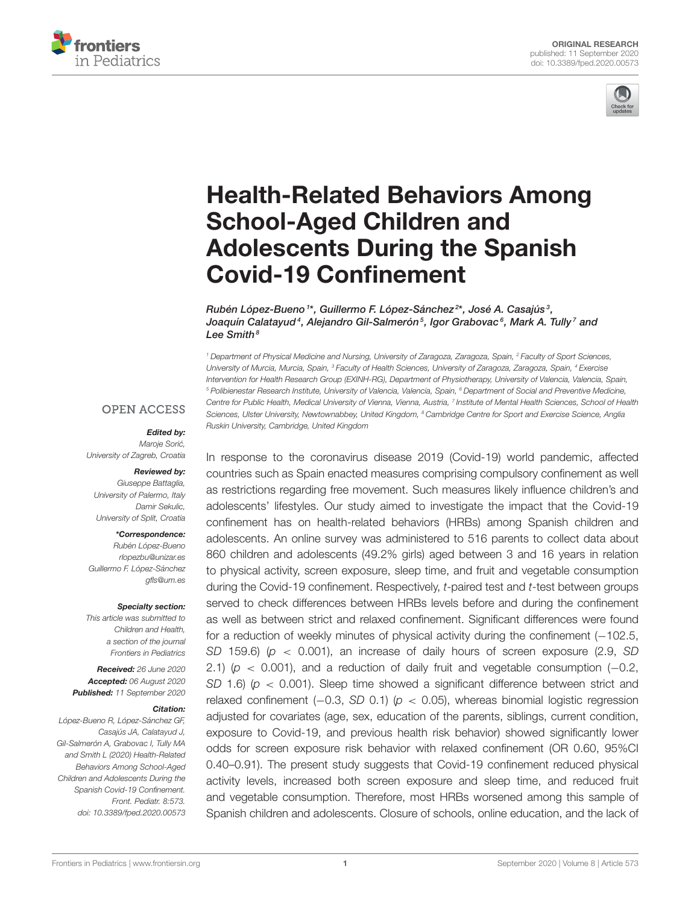



# [Health-Related Behaviors Among](https://www.frontiersin.org/articles/10.3389/fped.2020.00573/full) School-Aged Children and Adolescents During the Spanish Covid-19 Confinement

Rubén López-Bueno  $^{\text{\tiny{1}*}}$ , Guillermo F. López-Sánchez $^{\text{\tiny{2}*}}$ , José A. Casajús $^{\text{\tiny{3}}},$ Joaquín Calatayud<sup>4</sup>, Alejandro Gil-Salmerón<sup>5</sup>, Igor Grabovac<sup>6</sup>, Mark A. Tully<sup>7</sup> and Lee Smith $8$ 

<sup>1</sup> Department of Physical Medicine and Nursing, University of Zaragoza, Zaragoza, Spain, <sup>2</sup> Faculty of Sport Sciences, University of Murcia, Murcia, Spain, <sup>3</sup> Faculty of Health Sciences, University of Zaragoza, Zaragoza, Spain, <sup>4</sup> Exercise Intervention for Health Research Group (EXINH-RG), Department of Physiotherapy, University of Valencia, Valencia, Spain, <sup>5</sup> Polibienestar Research Institute, University of Valencia, Valencia, Spain, <sup>6</sup> Department of Social and Preventive Medicine, Centre for Public Health, Medical University of Vienna, Vienna, Austria, 7 Institute of Mental Health Sciences, School of Health Sciences, Ulster University, Newtownabbey, United Kingdom, <sup>8</sup> Cambridge Centre for Sport and Exercise Science, Anglia Ruskin University, Cambridge, United Kingdom

#### **OPEN ACCESS**

#### Edited by:

Maroje Sorić, University of Zagreb, Croatia

#### Reviewed by:

Giuseppe Battaglia, University of Palermo, Italy Damir Sekulic, University of Split, Croatia

#### \*Correspondence:

Rubén López-Bueno [rlopezbu@unizar.es](mailto:rlopezbu@unizar.es) Guillermo F. López-Sánchez [gfls@um.es](mailto:gfls@um.es)

#### Specialty section:

This article was submitted to Children and Health, a section of the journal Frontiers in Pediatrics

Received: 26 June 2020 Accepted: 06 August 2020 Published: 11 September 2020

#### Citation:

López-Bueno R, López-Sánchez GF, Casajús JA, Calatayud J, Gil-Salmerón A, Grabovac I, Tully MA and Smith L (2020) Health-Related Behaviors Among School-Aged Children and Adolescents During the Spanish Covid-19 Confinement. Front. Pediatr. 8:573. doi: [10.3389/fped.2020.00573](https://doi.org/10.3389/fped.2020.00573) In response to the coronavirus disease 2019 (Covid-19) world pandemic, affected countries such as Spain enacted measures comprising compulsory confinement as well as restrictions regarding free movement. Such measures likely influence children's and adolescents' lifestyles. Our study aimed to investigate the impact that the Covid-19 confinement has on health-related behaviors (HRBs) among Spanish children and adolescents. An online survey was administered to 516 parents to collect data about 860 children and adolescents (49.2% girls) aged between 3 and 16 years in relation to physical activity, screen exposure, sleep time, and fruit and vegetable consumption during the Covid-19 confinement. Respectively, t-paired test and t-test between groups served to check differences between HRBs levels before and during the confinement as well as between strict and relaxed confinement. Significant differences were found for a reduction of weekly minutes of physical activity during the confinement (−102.5, SD 159.6) ( $p < 0.001$ ), an increase of daily hours of screen exposure (2.9, SD 2.1) ( $p$  < 0.001), and a reduction of daily fruit and vegetable consumption (-0.2, SD 1.6) ( $p < 0.001$ ). Sleep time showed a significant difference between strict and relaxed confinement ( $-0.3$ , SD 0.1) ( $p < 0.05$ ), whereas binomial logistic regression adjusted for covariates (age, sex, education of the parents, siblings, current condition, exposure to Covid-19, and previous health risk behavior) showed significantly lower odds for screen exposure risk behavior with relaxed confinement (OR 0.60, 95%CI 0.40–0.91). The present study suggests that Covid-19 confinement reduced physical activity levels, increased both screen exposure and sleep time, and reduced fruit and vegetable consumption. Therefore, most HRBs worsened among this sample of Spanish children and adolescents. Closure of schools, online education, and the lack of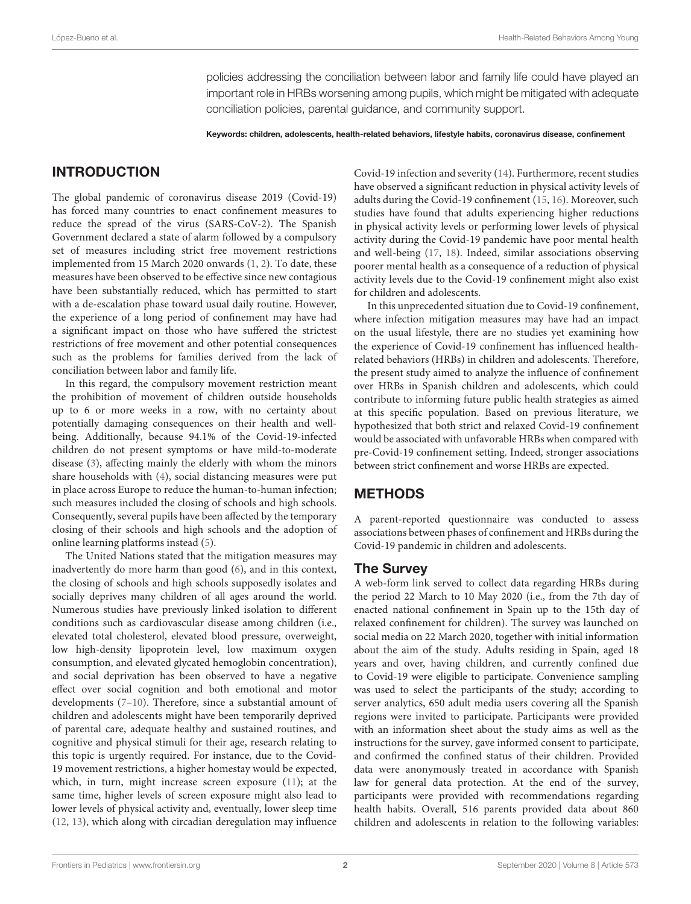policies addressing the conciliation between labor and family life could have played an important role in HRBs worsening among pupils, which might be mitigated with adequate conciliation policies, parental guidance, and community support.

Keywords: children, adolescents, health-related behaviors, lifestyle habits, coronavirus disease, confinement

## INTRODUCTION

The global pandemic of coronavirus disease 2019 (Covid-19) has forced many countries to enact confinement measures to reduce the spread of the virus (SARS-CoV-2). The Spanish Government declared a state of alarm followed by a compulsory set of measures including strict free movement restrictions implemented from 15 March 2020 onwards [\(1,](#page-8-0) [2\)](#page-8-1). To date, these measures have been observed to be effective since new contagious have been substantially reduced, which has permitted to start with a de-escalation phase toward usual daily routine. However, the experience of a long period of confinement may have had a significant impact on those who have suffered the strictest restrictions of free movement and other potential consequences such as the problems for families derived from the lack of conciliation between labor and family life.

In this regard, the compulsory movement restriction meant the prohibition of movement of children outside households up to 6 or more weeks in a row, with no certainty about potentially damaging consequences on their health and wellbeing. Additionally, because 94.1% of the Covid-19-infected children do not present symptoms or have mild-to-moderate disease [\(3\)](#page-8-2), affecting mainly the elderly with whom the minors share households with [\(4\)](#page-8-3), social distancing measures were put in place across Europe to reduce the human-to-human infection; such measures included the closing of schools and high schools. Consequently, several pupils have been affected by the temporary closing of their schools and high schools and the adoption of online learning platforms instead [\(5\)](#page-8-4).

The United Nations stated that the mitigation measures may inadvertently do more harm than good [\(6\)](#page-8-5), and in this context, the closing of schools and high schools supposedly isolates and socially deprives many children of all ages around the world. Numerous studies have previously linked isolation to different conditions such as cardiovascular disease among children (i.e., elevated total cholesterol, elevated blood pressure, overweight, low high-density lipoprotein level, low maximum oxygen consumption, and elevated glycated hemoglobin concentration), and social deprivation has been observed to have a negative effect over social cognition and both emotional and motor developments [\(7–](#page-8-6)[10\)](#page-8-7). Therefore, since a substantial amount of children and adolescents might have been temporarily deprived of parental care, adequate healthy and sustained routines, and cognitive and physical stimuli for their age, research relating to this topic is urgently required. For instance, due to the Covid-19 movement restrictions, a higher homestay would be expected, which, in turn, might increase screen exposure [\(11\)](#page-8-8); at the same time, higher levels of screen exposure might also lead to lower levels of physical activity and, eventually, lower sleep time [\(12,](#page-9-0) [13\)](#page-9-1), which along with circadian deregulation may influence Covid-19 infection and severity [\(14\)](#page-9-2). Furthermore, recent studies have observed a significant reduction in physical activity levels of adults during the Covid-19 confinement [\(15,](#page-9-3) [16\)](#page-9-4). Moreover, such studies have found that adults experiencing higher reductions in physical activity levels or performing lower levels of physical activity during the Covid-19 pandemic have poor mental health and well-being [\(17,](#page-9-5) [18\)](#page-9-6). Indeed, similar associations observing poorer mental health as a consequence of a reduction of physical activity levels due to the Covid-19 confinement might also exist for children and adolescents.

In this unprecedented situation due to Covid-19 confinement, where infection mitigation measures may have had an impact on the usual lifestyle, there are no studies yet examining how the experience of Covid-19 confinement has influenced healthrelated behaviors (HRBs) in children and adolescents. Therefore, the present study aimed to analyze the influence of confinement over HRBs in Spanish children and adolescents, which could contribute to informing future public health strategies as aimed at this specific population. Based on previous literature, we hypothesized that both strict and relaxed Covid-19 confinement would be associated with unfavorable HRBs when compared with pre-Covid-19 confinement setting. Indeed, stronger associations between strict confinement and worse HRBs are expected.

## METHODS

A parent-reported questionnaire was conducted to assess associations between phases of confinement and HRBs during the Covid-19 pandemic in children and adolescents.

#### The Survey

A web-form link served to collect data regarding HRBs during the period 22 March to 10 May 2020 (i.e., from the 7th day of enacted national confinement in Spain up to the 15th day of relaxed confinement for children). The survey was launched on social media on 22 March 2020, together with initial information about the aim of the study. Adults residing in Spain, aged 18 years and over, having children, and currently confined due to Covid-19 were eligible to participate. Convenience sampling was used to select the participants of the study; according to server analytics, 650 adult media users covering all the Spanish regions were invited to participate. Participants were provided with an information sheet about the study aims as well as the instructions for the survey, gave informed consent to participate, and confirmed the confined status of their children. Provided data were anonymously treated in accordance with Spanish law for general data protection. At the end of the survey, participants were provided with recommendations regarding health habits. Overall, 516 parents provided data about 860 children and adolescents in relation to the following variables: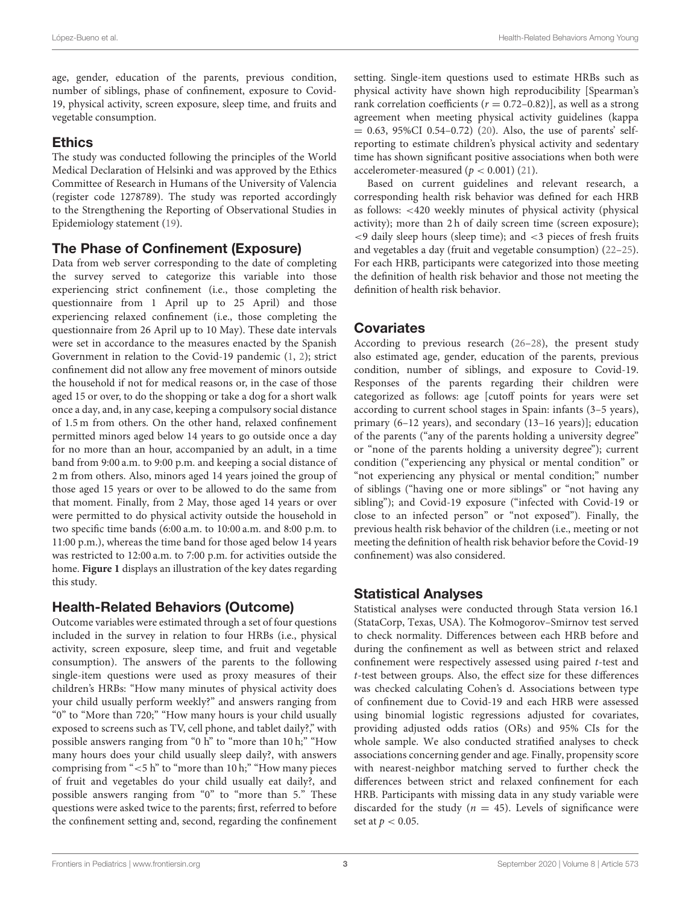age, gender, education of the parents, previous condition, number of siblings, phase of confinement, exposure to Covid-19, physical activity, screen exposure, sleep time, and fruits and vegetable consumption.

# Ethics

The study was conducted following the principles of the World Medical Declaration of Helsinki and was approved by the Ethics Committee of Research in Humans of the University of Valencia (register code 1278789). The study was reported accordingly to the Strengthening the Reporting of Observational Studies in Epidemiology statement [\(19\)](#page-9-7).

# The Phase of Confinement (Exposure)

Data from web server corresponding to the date of completing the survey served to categorize this variable into those experiencing strict confinement (i.e., those completing the questionnaire from 1 April up to 25 April) and those experiencing relaxed confinement (i.e., those completing the questionnaire from 26 April up to 10 May). These date intervals were set in accordance to the measures enacted by the Spanish Government in relation to the Covid-19 pandemic [\(1,](#page-8-0) [2\)](#page-8-1); strict confinement did not allow any free movement of minors outside the household if not for medical reasons or, in the case of those aged 15 or over, to do the shopping or take a dog for a short walk once a day, and, in any case, keeping a compulsory social distance of 1.5 m from others. On the other hand, relaxed confinement permitted minors aged below 14 years to go outside once a day for no more than an hour, accompanied by an adult, in a time band from 9:00 a.m. to 9:00 p.m. and keeping a social distance of 2 m from others. Also, minors aged 14 years joined the group of those aged 15 years or over to be allowed to do the same from that moment. Finally, from 2 May, those aged 14 years or over were permitted to do physical activity outside the household in two specific time bands (6:00 a.m. to 10:00 a.m. and 8:00 p.m. to 11:00 p.m.), whereas the time band for those aged below 14 years was restricted to 12:00 a.m. to 7:00 p.m. for activities outside the home. **[Figure 1](#page-3-0)** displays an illustration of the key dates regarding this study.

# Health-Related Behaviors (Outcome)

Outcome variables were estimated through a set of four questions included in the survey in relation to four HRBs (i.e., physical activity, screen exposure, sleep time, and fruit and vegetable consumption). The answers of the parents to the following single-item questions were used as proxy measures of their children's HRBs: "How many minutes of physical activity does your child usually perform weekly?" and answers ranging from "0" to "More than 720;" "How many hours is your child usually exposed to screens such as TV, cell phone, and tablet daily?," with possible answers ranging from "0 h" to "more than 10 h;" "How many hours does your child usually sleep daily?, with answers comprising from "<5 h" to "more than 10 h;" "How many pieces of fruit and vegetables do your child usually eat daily?, and possible answers ranging from "0" to "more than 5." These questions were asked twice to the parents; first, referred to before the confinement setting and, second, regarding the confinement setting. Single-item questions used to estimate HRBs such as physical activity have shown high reproducibility [Spearman's rank correlation coefficients  $(r = 0.72 - 0.82)$ , as well as a strong agreement when meeting physical activity guidelines (kappa  $= 0.63, 95\%$ CI 0.54–0.72) [\(20\)](#page-9-8). Also, the use of parents' selfreporting to estimate children's physical activity and sedentary time has shown significant positive associations when both were accelerometer-measured ( $p < 0.001$ ) [\(21\)](#page-9-9).

Based on current guidelines and relevant research, a corresponding health risk behavior was defined for each HRB as follows: <420 weekly minutes of physical activity (physical activity); more than 2 h of daily screen time (screen exposure); <9 daily sleep hours (sleep time); and <3 pieces of fresh fruits and vegetables a day (fruit and vegetable consumption) [\(22–](#page-9-10)[25\)](#page-9-11). For each HRB, participants were categorized into those meeting the definition of health risk behavior and those not meeting the definition of health risk behavior.

# **Covariates**

According to previous research [\(26–](#page-9-12)[28\)](#page-9-13), the present study also estimated age, gender, education of the parents, previous condition, number of siblings, and exposure to Covid-19. Responses of the parents regarding their children were categorized as follows: age [cutoff points for years were set according to current school stages in Spain: infants (3–5 years), primary (6–12 years), and secondary (13–16 years)]; education of the parents ("any of the parents holding a university degree" or "none of the parents holding a university degree"); current condition ("experiencing any physical or mental condition" or "not experiencing any physical or mental condition;" number of siblings ("having one or more siblings" or "not having any sibling"); and Covid-19 exposure ("infected with Covid-19 or close to an infected person" or "not exposed"). Finally, the previous health risk behavior of the children (i.e., meeting or not meeting the definition of health risk behavior before the Covid-19 confinement) was also considered.

# Statistical Analyses

Statistical analyses were conducted through Stata version 16.1 (StataCorp, Texas, USA). The Kołmogorov–Smirnov test served to check normality. Differences between each HRB before and during the confinement as well as between strict and relaxed confinement were respectively assessed using paired t-test and t-test between groups. Also, the effect size for these differences was checked calculating Cohen's d. Associations between type of confinement due to Covid-19 and each HRB were assessed using binomial logistic regressions adjusted for covariates, providing adjusted odds ratios (ORs) and 95% CIs for the whole sample. We also conducted stratified analyses to check associations concerning gender and age. Finally, propensity score with nearest-neighbor matching served to further check the differences between strict and relaxed confinement for each HRB. Participants with missing data in any study variable were discarded for the study ( $n = 45$ ). Levels of significance were set at  $p < 0.05$ .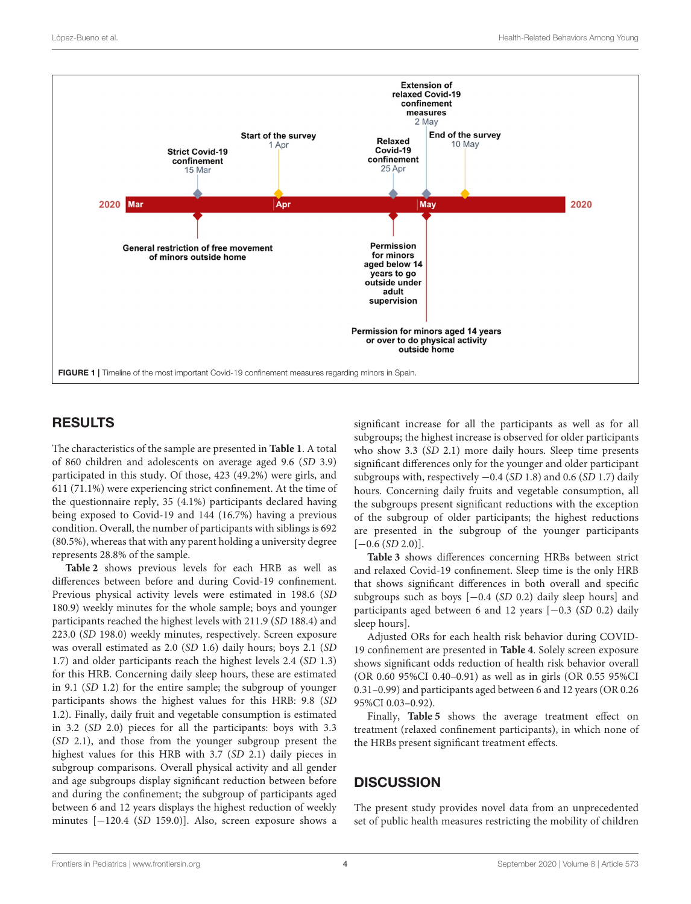

## <span id="page-3-0"></span>RESULTS

The characteristics of the sample are presented in **[Table 1](#page-4-0)**. A total of 860 children and adolescents on average aged 9.6 (SD 3.9) participated in this study. Of those, 423 (49.2%) were girls, and 611 (71.1%) were experiencing strict confinement. At the time of the questionnaire reply, 35 (4.1%) participants declared having being exposed to Covid-19 and 144 (16.7%) having a previous condition. Overall, the number of participants with siblings is 692 (80.5%), whereas that with any parent holding a university degree represents 28.8% of the sample.

**[Table 2](#page-5-0)** shows previous levels for each HRB as well as differences between before and during Covid-19 confinement. Previous physical activity levels were estimated in 198.6 (SD 180.9) weekly minutes for the whole sample; boys and younger participants reached the highest levels with 211.9 (SD 188.4) and 223.0 (SD 198.0) weekly minutes, respectively. Screen exposure was overall estimated as 2.0 (SD 1.6) daily hours; boys 2.1 (SD 1.7) and older participants reach the highest levels 2.4 (SD 1.3) for this HRB. Concerning daily sleep hours, these are estimated in 9.1 (SD 1.2) for the entire sample; the subgroup of younger participants shows the highest values for this HRB: 9.8 (SD 1.2). Finally, daily fruit and vegetable consumption is estimated in 3.2 (SD 2.0) pieces for all the participants: boys with 3.3 (SD 2.1), and those from the younger subgroup present the highest values for this HRB with 3.7 (SD 2.1) daily pieces in subgroup comparisons. Overall physical activity and all gender and age subgroups display significant reduction between before and during the confinement; the subgroup of participants aged between 6 and 12 years displays the highest reduction of weekly minutes [−120.4 (SD 159.0)]. Also, screen exposure shows a significant increase for all the participants as well as for all subgroups; the highest increase is observed for older participants who show 3.3 (SD 2.1) more daily hours. Sleep time presents significant differences only for the younger and older participant subgroups with, respectively  $-0.4$  (SD 1.8) and 0.6 (SD 1.7) daily hours. Concerning daily fruits and vegetable consumption, all the subgroups present significant reductions with the exception of the subgroup of older participants; the highest reductions are presented in the subgroup of the younger participants  $[-0.6 (SD 2.0)].$ 

**[Table 3](#page-6-0)** shows differences concerning HRBs between strict and relaxed Covid-19 confinement. Sleep time is the only HRB that shows significant differences in both overall and specific subgroups such as boys [−0.4 (SD 0.2) daily sleep hours] and participants aged between 6 and 12 years [−0.3 (SD 0.2) daily sleep hours].

Adjusted ORs for each health risk behavior during COVID-19 confinement are presented in **[Table 4](#page-7-0)**. Solely screen exposure shows significant odds reduction of health risk behavior overall (OR 0.60 95%CI 0.40–0.91) as well as in girls (OR 0.55 95%CI 0.31–0.99) and participants aged between 6 and 12 years (OR 0.26 95%CI 0.03–0.92).

Finally, **[Table 5](#page-7-1)** shows the average treatment effect on treatment (relaxed confinement participants), in which none of the HRBs present significant treatment effects.

#### **DISCUSSION**

The present study provides novel data from an unprecedented set of public health measures restricting the mobility of children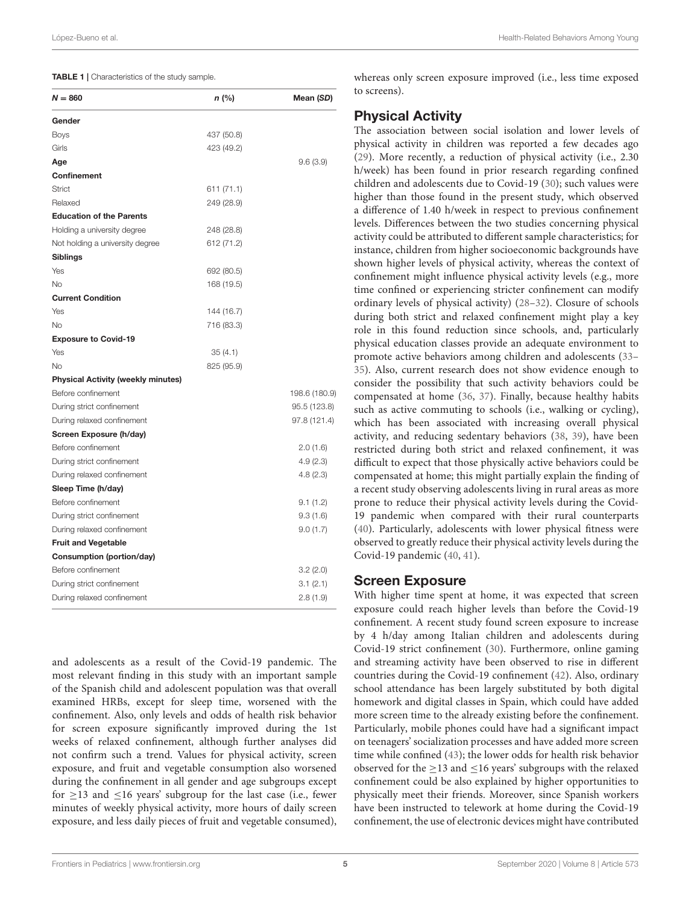#### <span id="page-4-0"></span>TABLE 1 | Characteristics of the study sample.

| $N = 860$                                 | n (%)      | Mean (SD)     |
|-------------------------------------------|------------|---------------|
| Gender                                    |            |               |
| Boys                                      | 437 (50.8) |               |
| Girls                                     | 423 (49.2) |               |
| Age                                       |            | 9.6(3.9)      |
| Confinement                               |            |               |
| Strict                                    | 611 (71.1) |               |
| Relaxed                                   | 249 (28.9) |               |
| <b>Education of the Parents</b>           |            |               |
| Holding a university degree               | 248 (28.8) |               |
| Not holding a university degree           | 612 (71.2) |               |
| <b>Siblings</b>                           |            |               |
| Yes                                       | 692 (80.5) |               |
| No                                        | 168 (19.5) |               |
| <b>Current Condition</b>                  |            |               |
| Yes                                       | 144 (16.7) |               |
| <b>No</b>                                 | 716 (83.3) |               |
| <b>Exposure to Covid-19</b>               |            |               |
| Yes                                       | 35 (4.1)   |               |
| No                                        | 825 (95.9) |               |
| <b>Physical Activity (weekly minutes)</b> |            |               |
| Before confinement                        |            | 198.6 (180.9) |
| During strict confinement                 |            | 95.5 (123.8)  |
| During relaxed confinement                |            | 97.8 (121.4)  |
| Screen Exposure (h/day)                   |            |               |
| Before confinement                        |            | 2.0(1.6)      |
| During strict confinement                 |            | 4.9(2.3)      |
| During relaxed confinement                |            | 4.8(2.3)      |
| Sleep Time (h/day)                        |            |               |
| Before confinement                        |            | 9.1(1.2)      |
| During strict confinement                 |            | 9.3(1.6)      |
| During relaxed confinement                |            | 9.0(1.7)      |
| <b>Fruit and Vegetable</b>                |            |               |
| Consumption (portion/day)                 |            |               |
| Before confinement                        |            | 3.2(2.0)      |
| During strict confinement                 |            | 3.1(2.1)      |
| During relaxed confinement                |            | 2.8(1.9)      |
|                                           |            |               |

and adolescents as a result of the Covid-19 pandemic. The most relevant finding in this study with an important sample of the Spanish child and adolescent population was that overall examined HRBs, except for sleep time, worsened with the confinement. Also, only levels and odds of health risk behavior for screen exposure significantly improved during the 1st weeks of relaxed confinement, although further analyses did not confirm such a trend. Values for physical activity, screen exposure, and fruit and vegetable consumption also worsened during the confinement in all gender and age subgroups except for  $\geq$ 13 and  $\leq$ 16 years' subgroup for the last case (i.e., fewer minutes of weekly physical activity, more hours of daily screen exposure, and less daily pieces of fruit and vegetable consumed), whereas only screen exposure improved (i.e., less time exposed to screens).

## Physical Activity

The association between social isolation and lower levels of physical activity in children was reported a few decades ago [\(29\)](#page-9-14). More recently, a reduction of physical activity (i.e., 2.30 h/week) has been found in prior research regarding confined children and adolescents due to Covid-19 [\(30\)](#page-9-15); such values were higher than those found in the present study, which observed a difference of 1.40 h/week in respect to previous confinement levels. Differences between the two studies concerning physical activity could be attributed to different sample characteristics; for instance, children from higher socioeconomic backgrounds have shown higher levels of physical activity, whereas the context of confinement might influence physical activity levels (e.g., more time confined or experiencing stricter confinement can modify ordinary levels of physical activity) [\(28](#page-9-13)[–32\)](#page-9-16). Closure of schools during both strict and relaxed confinement might play a key role in this found reduction since schools, and, particularly physical education classes provide an adequate environment to promote active behaviors among children and adolescents [\(33–](#page-9-17) [35\)](#page-9-18). Also, current research does not show evidence enough to consider the possibility that such activity behaviors could be compensated at home [\(36,](#page-9-19) [37\)](#page-9-20). Finally, because healthy habits such as active commuting to schools (i.e., walking or cycling), which has been associated with increasing overall physical activity, and reducing sedentary behaviors [\(38,](#page-9-21) [39\)](#page-9-22), have been restricted during both strict and relaxed confinement, it was difficult to expect that those physically active behaviors could be compensated at home; this might partially explain the finding of a recent study observing adolescents living in rural areas as more prone to reduce their physical activity levels during the Covid-19 pandemic when compared with their rural counterparts [\(40\)](#page-9-23). Particularly, adolescents with lower physical fitness were observed to greatly reduce their physical activity levels during the Covid-19 pandemic [\(40,](#page-9-23) [41\)](#page-9-24).

#### Screen Exposure

With higher time spent at home, it was expected that screen exposure could reach higher levels than before the Covid-19 confinement. A recent study found screen exposure to increase by 4 h/day among Italian children and adolescents during Covid-19 strict confinement [\(30\)](#page-9-15). Furthermore, online gaming and streaming activity have been observed to rise in different countries during the Covid-19 confinement [\(42\)](#page-9-25). Also, ordinary school attendance has been largely substituted by both digital homework and digital classes in Spain, which could have added more screen time to the already existing before the confinement. Particularly, mobile phones could have had a significant impact on teenagers' socialization processes and have added more screen time while confined [\(43\)](#page-9-26); the lower odds for health risk behavior observed for the  $\geq$ 13 and  $\leq$ 16 years' subgroups with the relaxed confinement could be also explained by higher opportunities to physically meet their friends. Moreover, since Spanish workers have been instructed to telework at home during the Covid-19 confinement, the use of electronic devices might have contributed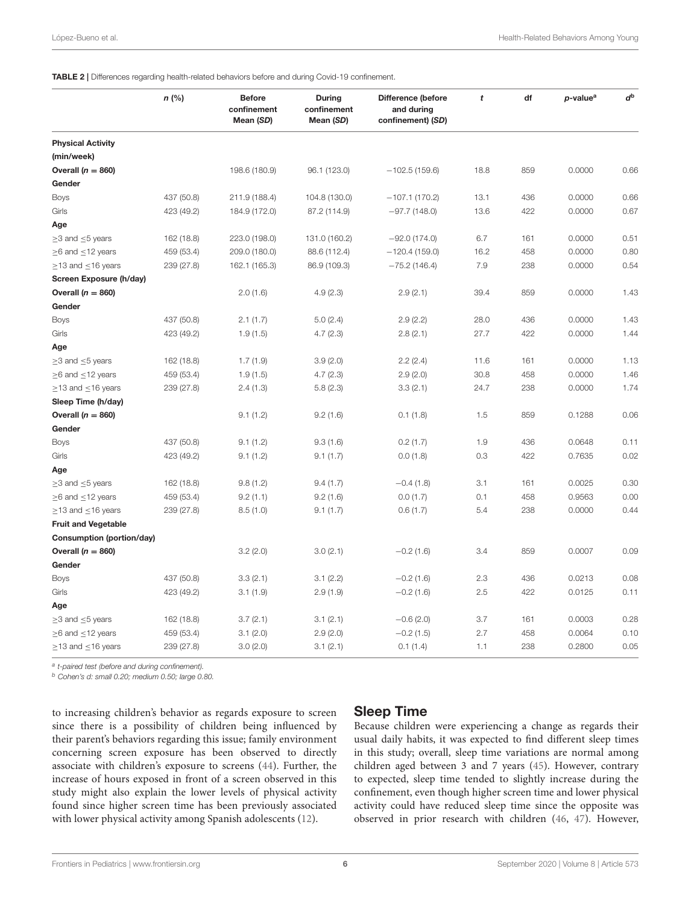<span id="page-5-0"></span>TABLE 2 | Differences regarding health-related behaviors before and during Covid-19 confinement.

|                               | $n$ (%)    | <b>Before</b><br>confinement<br>Mean (SD) | During<br>confinement<br>Mean (SD) | <b>Difference (before</b><br>and during<br>confinement) (SD) | t    | df  | p-value <sup>a</sup> | $d^{\rm b}$ |
|-------------------------------|------------|-------------------------------------------|------------------------------------|--------------------------------------------------------------|------|-----|----------------------|-------------|
| <b>Physical Activity</b>      |            |                                           |                                    |                                                              |      |     |                      |             |
| (min/week)                    |            |                                           |                                    |                                                              |      |     |                      |             |
| Overall $(n = 860)$           |            | 198.6 (180.9)                             | 96.1 (123.0)                       | $-102.5(159.6)$                                              | 18.8 | 859 | 0.0000               | 0.66        |
| Gender                        |            |                                           |                                    |                                                              |      |     |                      |             |
| <b>Boys</b>                   | 437 (50.8) | 211.9 (188.4)                             | 104.8 (130.0)                      | $-107.1(170.2)$                                              | 13.1 | 436 | 0.0000               | 0.66        |
| Girls                         | 423 (49.2) | 184.9 (172.0)                             | 87.2 (114.9)                       | $-97.7(148.0)$                                               | 13.6 | 422 | 0.0000               | 0.67        |
| Age                           |            |                                           |                                    |                                                              |      |     |                      |             |
| $\geq$ 3 and $\leq$ 5 years   | 162 (18.8) | 223.0 (198.0)                             | 131.0 (160.2)                      | $-92.0(174.0)$                                               | 6.7  | 161 | 0.0000               | 0.51        |
| $\geq$ 6 and $\leq$ 12 years  | 459 (53.4) | 209.0 (180.0)                             | 88.6 (112.4)                       | $-120.4(159.0)$                                              | 16.2 | 458 | 0.0000               | 0.80        |
| $\geq$ 13 and $\leq$ 16 years | 239 (27.8) | 162.1 (165.3)                             | 86.9 (109.3)                       | $-75.2(146.4)$                                               | 7.9  | 238 | 0.0000               | 0.54        |
| Screen Exposure (h/day)       |            |                                           |                                    |                                                              |      |     |                      |             |
| Overall $(n = 860)$           |            | 2.0(1.6)                                  | 4.9(2.3)                           | 2.9(2.1)                                                     | 39.4 | 859 | 0.0000               | 1.43        |
| Gender                        |            |                                           |                                    |                                                              |      |     |                      |             |
| Boys                          | 437 (50.8) | 2.1(1.7)                                  | 5.0(2.4)                           | 2.9(2.2)                                                     | 28.0 | 436 | 0.0000               | 1.43        |
| Girls                         | 423 (49.2) | 1.9(1.5)                                  | 4.7(2.3)                           | 2.8(2.1)                                                     | 27.7 | 422 | 0.0000               | 1.44        |
| Age                           |            |                                           |                                    |                                                              |      |     |                      |             |
| $\geq$ 3 and $\leq$ 5 years   | 162 (18.8) | 1.7(1.9)                                  | 3.9(2.0)                           | 2.2(2.4)                                                     | 11.6 | 161 | 0.0000               | 1.13        |
| $\geq$ 6 and $\leq$ 12 years  | 459 (53.4) | 1.9(1.5)                                  | 4.7(2.3)                           | 2.9(2.0)                                                     | 30.8 | 458 | 0.0000               | 1.46        |
| $\geq$ 13 and $\leq$ 16 years | 239 (27.8) | 2.4(1.3)                                  | 5.8(2.3)                           | 3.3(2.1)                                                     | 24.7 | 238 | 0.0000               | 1.74        |
| Sleep Time (h/day)            |            |                                           |                                    |                                                              |      |     |                      |             |
| Overall ( $n = 860$ )         |            | 9.1(1.2)                                  | 9.2(1.6)                           | 0.1(1.8)                                                     | 1.5  | 859 | 0.1288               | 0.06        |
| Gender                        |            |                                           |                                    |                                                              |      |     |                      |             |
| <b>Boys</b>                   | 437 (50.8) | 9.1(1.2)                                  | 9.3(1.6)                           | 0.2(1.7)                                                     | 1.9  | 436 | 0.0648               | 0.11        |
| Girls                         | 423 (49.2) | 9.1(1.2)                                  | 9.1(1.7)                           | 0.0(1.8)                                                     | 0.3  | 422 | 0.7635               | 0.02        |
| Age                           |            |                                           |                                    |                                                              |      |     |                      |             |
| $\geq$ 3 and $\leq$ 5 years   | 162 (18.8) | 9.8(1.2)                                  | 9.4(1.7)                           | $-0.4(1.8)$                                                  | 3.1  | 161 | 0.0025               | 0.30        |
| $\geq$ 6 and $\leq$ 12 years  | 459 (53.4) | 9.2(1.1)                                  | 9.2(1.6)                           | 0.0(1.7)                                                     | 0.1  | 458 | 0.9563               | 0.00        |
| $\geq$ 13 and $\leq$ 16 years | 239 (27.8) | 8.5(1.0)                                  | 9.1(1.7)                           | 0.6(1.7)                                                     | 5.4  | 238 | 0.0000               | 0.44        |
| <b>Fruit and Vegetable</b>    |            |                                           |                                    |                                                              |      |     |                      |             |
| Consumption (portion/day)     |            |                                           |                                    |                                                              |      |     |                      |             |
| Overall ( $n = 860$ )         |            | 3.2(2.0)                                  | 3.0(2.1)                           | $-0.2(1.6)$                                                  | 3.4  | 859 | 0.0007               | 0.09        |
| Gender                        |            |                                           |                                    |                                                              |      |     |                      |             |
| <b>Boys</b>                   | 437 (50.8) | 3.3(2.1)                                  | 3.1(2.2)                           | $-0.2(1.6)$                                                  | 2.3  | 436 | 0.0213               | 0.08        |
| Girls                         | 423 (49.2) | 3.1(1.9)                                  | 2.9(1.9)                           | $-0.2(1.6)$                                                  | 2.5  | 422 | 0.0125               | 0.11        |
| Age                           |            |                                           |                                    |                                                              |      |     |                      |             |
| $\geq$ 3 and $\leq$ 5 years   | 162 (18.8) | 3.7(2.1)                                  | 3.1(2.1)                           | $-0.6(2.0)$                                                  | 3.7  | 161 | 0.0003               | 0.28        |
| $\geq$ 6 and $\leq$ 12 years  | 459 (53.4) | 3.1(2.0)                                  | 2.9(2.0)                           | $-0.2(1.5)$                                                  | 2.7  | 458 | 0.0064               | 0.10        |
| $\geq$ 13 and $\leq$ 16 years | 239 (27.8) | 3.0(2.0)                                  | 3.1(2.1)                           | 0.1(1.4)                                                     | 1.1  | 238 | 0.2800               | 0.05        |

<sup>a</sup> t-paired test (before and during confinement).

<sup>b</sup> Cohen's d: small 0.20; medium 0.50; large 0.80.

to increasing children's behavior as regards exposure to screen since there is a possibility of children being influenced by their parent's behaviors regarding this issue; family environment concerning screen exposure has been observed to directly associate with children's exposure to screens [\(44\)](#page-9-27). Further, the increase of hours exposed in front of a screen observed in this study might also explain the lower levels of physical activity found since higher screen time has been previously associated with lower physical activity among Spanish adolescents [\(12\)](#page-9-0).

## Sleep Time

Because children were experiencing a change as regards their usual daily habits, it was expected to find different sleep times in this study; overall, sleep time variations are normal among children aged between 3 and 7 years [\(45\)](#page-9-28). However, contrary to expected, sleep time tended to slightly increase during the confinement, even though higher screen time and lower physical activity could have reduced sleep time since the opposite was observed in prior research with children [\(46,](#page-9-29) [47\)](#page-9-30). However,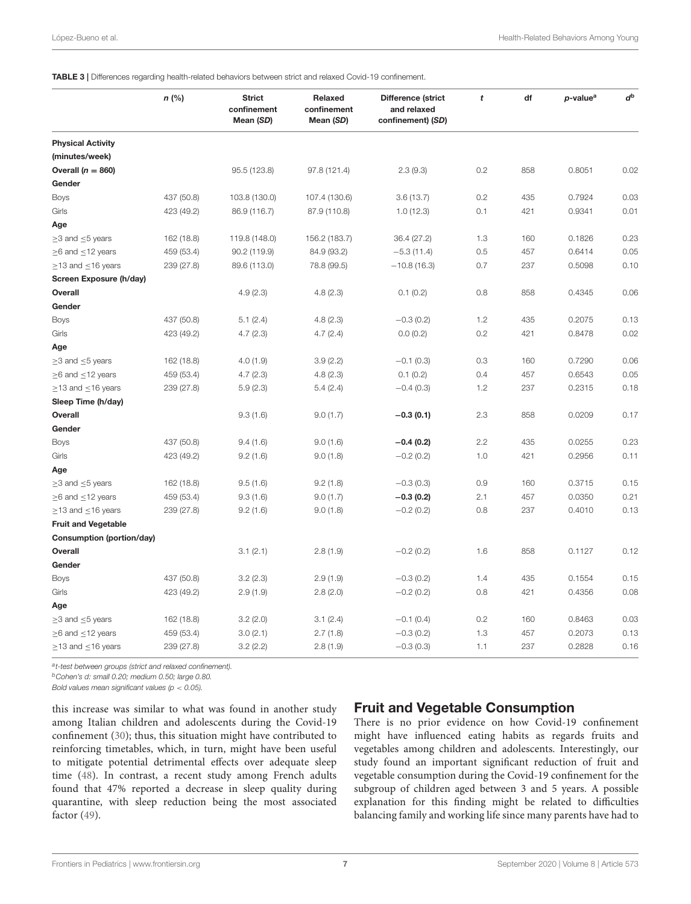<span id="page-6-0"></span>

|                               | $n$ (%)    | <b>Strict</b><br>confinement<br>Mean (SD) | Relaxed<br>confinement<br>Mean (SD) | Difference (strict<br>and relaxed<br>confinement) (SD) | t   | df  | p-value <sup>a</sup> | $d^{\rm b}$ |
|-------------------------------|------------|-------------------------------------------|-------------------------------------|--------------------------------------------------------|-----|-----|----------------------|-------------|
| <b>Physical Activity</b>      |            |                                           |                                     |                                                        |     |     |                      |             |
| (minutes/week)                |            |                                           |                                     |                                                        |     |     |                      |             |
| Overall $(n = 860)$           |            | 95.5 (123.8)                              | 97.8 (121.4)                        | 2.3(9.3)                                               | 0.2 | 858 | 0.8051               | 0.02        |
| Gender                        |            |                                           |                                     |                                                        |     |     |                      |             |
| <b>Boys</b>                   | 437 (50.8) | 103.8 (130.0)                             | 107.4 (130.6)                       | 3.6(13.7)                                              | 0.2 | 435 | 0.7924               | 0.03        |
| Girls                         | 423 (49.2) | 86.9 (116.7)                              | 87.9 (110.8)                        | 1.0(12.3)                                              | 0.1 | 421 | 0.9341               | 0.01        |
| Age                           |            |                                           |                                     |                                                        |     |     |                      |             |
| $\geq$ 3 and $\leq$ 5 years   | 162 (18.8) | 119.8 (148.0)                             | 156.2 (183.7)                       | 36.4 (27.2)                                            | 1.3 | 160 | 0.1826               | 0.23        |
| $\geq$ 6 and $\leq$ 12 years  | 459 (53.4) | 90.2 (119.9)                              | 84.9 (93.2)                         | $-5.3(11.4)$                                           | 0.5 | 457 | 0.6414               | 0.05        |
| $\geq$ 13 and $\leq$ 16 years | 239 (27.8) | 89.6 (113.0)                              | 78.8 (99.5)                         | $-10.8(16.3)$                                          | 0.7 | 237 | 0.5098               | 0.10        |
| Screen Exposure (h/day)       |            |                                           |                                     |                                                        |     |     |                      |             |
| Overall                       |            | 4.9(2.3)                                  | 4.8(2.3)                            | 0.1(0.2)                                               | 0.8 | 858 | 0.4345               | 0.06        |
| Gender                        |            |                                           |                                     |                                                        |     |     |                      |             |
| Boys                          | 437 (50.8) | 5.1(2.4)                                  | 4.8(2.3)                            | $-0.3(0.2)$                                            | 1.2 | 435 | 0.2075               | 0.13        |
| Girls                         | 423 (49.2) | 4.7(2.3)                                  | 4.7(2.4)                            | 0.0(0.2)                                               | 0.2 | 421 | 0.8478               | 0.02        |
| Age                           |            |                                           |                                     |                                                        |     |     |                      |             |
| $\geq$ 3 and $\leq$ 5 years   | 162 (18.8) | 4.0(1.9)                                  | 3.9(2.2)                            | $-0.1(0.3)$                                            | 0.3 | 160 | 0.7290               | 0.06        |
| $\geq$ 6 and $\leq$ 12 years  | 459 (53.4) | 4.7(2.3)                                  | 4.8(2.3)                            | 0.1(0.2)                                               | 0.4 | 457 | 0.6543               | 0.05        |
| $\geq$ 13 and $\leq$ 16 years | 239 (27.8) | 5.9(2.3)                                  | 5.4(2.4)                            | $-0.4(0.3)$                                            | 1.2 | 237 | 0.2315               | 0.18        |
| Sleep Time (h/day)            |            |                                           |                                     |                                                        |     |     |                      |             |
| Overall                       |            | 9.3(1.6)                                  | 9.0(1.7)                            | $-0.3(0.1)$                                            | 2.3 | 858 | 0.0209               | 0.17        |
| Gender                        |            |                                           |                                     |                                                        |     |     |                      |             |
| Boys                          | 437 (50.8) | 9.4(1.6)                                  | 9.0(1.6)                            | $-0.4(0.2)$                                            | 2.2 | 435 | 0.0255               | 0.23        |
| Girls                         | 423 (49.2) | 9.2(1.6)                                  | 9.0(1.8)                            | $-0.2(0.2)$                                            | 1.0 | 421 | 0.2956               | 0.11        |
| Age                           |            |                                           |                                     |                                                        |     |     |                      |             |
| $\geq$ 3 and $\leq$ 5 years   | 162 (18.8) | 9.5(1.6)                                  | 9.2(1.8)                            | $-0.3(0.3)$                                            | 0.9 | 160 | 0.3715               | 0.15        |
| $\geq$ 6 and $\leq$ 12 years  | 459 (53.4) | 9.3(1.6)                                  | 9.0(1.7)                            | $-0.3(0.2)$                                            | 2.1 | 457 | 0.0350               | 0.21        |
| $\geq$ 13 and $\leq$ 16 years | 239 (27.8) | 9.2(1.6)                                  | 9.0(1.8)                            | $-0.2(0.2)$                                            | 0.8 | 237 | 0.4010               | 0.13        |
| <b>Fruit and Vegetable</b>    |            |                                           |                                     |                                                        |     |     |                      |             |
| Consumption (portion/day)     |            |                                           |                                     |                                                        |     |     |                      |             |
| Overall                       |            | 3.1(2.1)                                  | 2.8(1.9)                            | $-0.2(0.2)$                                            | 1.6 | 858 | 0.1127               | 0.12        |
| Gender                        |            |                                           |                                     |                                                        |     |     |                      |             |
| <b>Boys</b>                   | 437 (50.8) | 3.2(2.3)                                  | 2.9(1.9)                            | $-0.3(0.2)$                                            | 1.4 | 435 | 0.1554               | 0.15        |
| Girls                         | 423 (49.2) | 2.9(1.9)                                  | 2.8(2.0)                            | $-0.2(0.2)$                                            | 0.8 | 421 | 0.4356               | 0.08        |
| Age                           |            |                                           |                                     |                                                        |     |     |                      |             |
| $\geq$ 3 and $\leq$ 5 years   | 162 (18.8) | 3.2(2.0)                                  | 3.1(2.4)                            | $-0.1(0.4)$                                            | 0.2 | 160 | 0.8463               | 0.03        |
| $\geq$ 6 and $\leq$ 12 years  | 459 (53.4) | 3.0(2.1)                                  | 2.7(1.8)                            | $-0.3(0.2)$                                            | 1.3 | 457 | 0.2073               | 0.13        |
| $\geq$ 13 and $\leq$ 16 years | 239 (27.8) | 3.2(2.2)                                  | 2.8(1.9)                            | $-0.3(0.3)$                                            | 1.1 | 237 | 0.2828               | 0.16        |

at-test between groups (strict and relaxed confinement).

<sup>b</sup>Cohen's d: small 0.20; medium 0.50; large 0.80.

Bold values mean significant values ( $p < 0.05$ ).

this increase was similar to what was found in another study among Italian children and adolescents during the Covid-19 confinement [\(30\)](#page-9-15); thus, this situation might have contributed to reinforcing timetables, which, in turn, might have been useful to mitigate potential detrimental effects over adequate sleep time [\(48\)](#page-9-31). In contrast, a recent study among French adults found that 47% reported a decrease in sleep quality during quarantine, with sleep reduction being the most associated factor [\(49\)](#page-10-0).

# Fruit and Vegetable Consumption

There is no prior evidence on how Covid-19 confinement might have influenced eating habits as regards fruits and vegetables among children and adolescents. Interestingly, our study found an important significant reduction of fruit and vegetable consumption during the Covid-19 confinement for the subgroup of children aged between 3 and 5 years. A possible explanation for this finding might be related to difficulties balancing family and working life since many parents have had to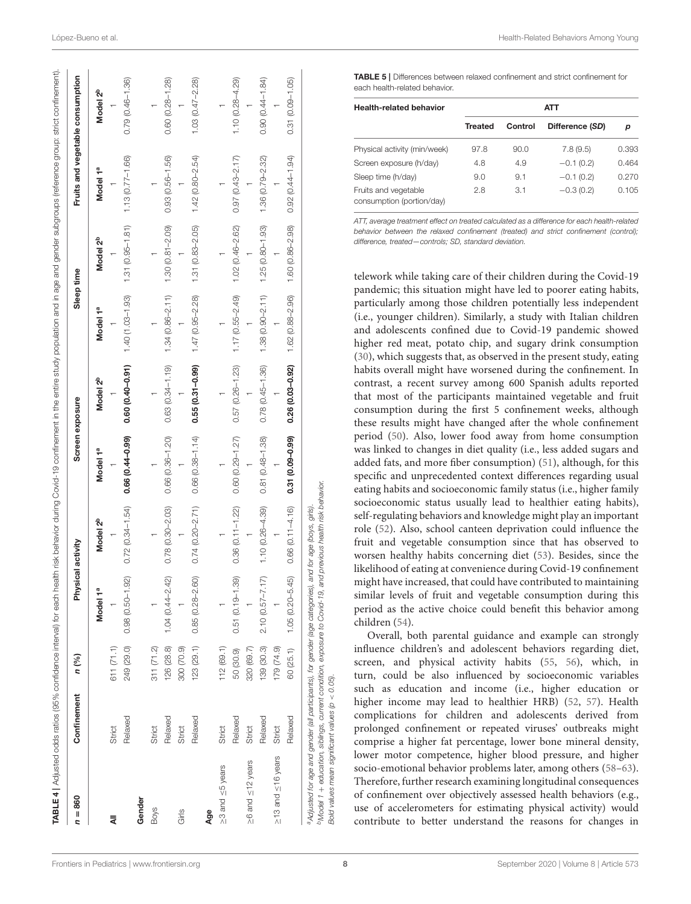| $n = 860$                     | Confinement | n (%)      | Physical activity       |                      |                     | Screen exposure        | Sleep time          |                      |                     | Fruits and vegetable consumption |
|-------------------------------|-------------|------------|-------------------------|----------------------|---------------------|------------------------|---------------------|----------------------|---------------------|----------------------------------|
|                               |             |            | Model 1ª                | Model 2 <sup>b</sup> | Model 1ª            | Model 2 <sup>b</sup>   | Model 1ª            | Model 2 <sup>b</sup> | Model 1ª            | Model 2 <sup>b</sup>             |
| ₹                             | Strict      | 611 (71.1) |                         |                      |                     |                        |                     |                      |                     |                                  |
|                               | Relaxed     | 249 (29.0) | $0.98(0.50 - 1.92)$     | $0.72(0.34 - 1.54)$  | 0.66 (0.44-0.99)    | $0.60$ $(0.40 - 0.91)$ | $1.40(1.03 - 1.93)$ | $1.31 (0.95 - 1.81)$ | $1.13(0.77 - 1.66)$ | $0.79(0.46 - 1.36)$              |
| Gender                        |             |            |                         |                      |                     |                        |                     |                      |                     |                                  |
| <b>Boys</b>                   | Strict      | 311 (71.2) |                         |                      |                     |                        |                     |                      |                     |                                  |
|                               | Relaxed     | 126 (28.8) | $1.04(0.44 - 2.42)$     | $0.78(0.30 - 2.03)$  | $0.66(0.36 - 1.20)$ | $0.63(0.34 - 1.19)$    | $1.34(0.86 - 2.11)$ | $1.30(0.81 - 2.09)$  | $0.93(0.56 - 1.56)$ | $0.60(0.28 - 1.28)$              |
| Girls                         | Strict      | 300 (70.9) |                         |                      |                     |                        |                     |                      |                     |                                  |
|                               | Relaxed     | 123 (29.1) | $0.85(0.28 - 2.60)$     | $0.74(0.20 - 2.71)$  | $0.66(0.38 - 1.14)$ | $0.55(0.31 - 0.99)$    | $1.47(0.95 - 2.28)$ | $1.31(0.83 - 2.05)$  | $1.42(0.80 - 2.54)$ | $1.03(0.47 - 2.28)$              |
| Age                           |             |            |                         |                      |                     |                        |                     |                      |                     |                                  |
| ≥3 and <5 years               | Strict      | 112(69.1)  |                         |                      |                     |                        |                     |                      |                     |                                  |
|                               | Relaxed     | 50 (30.9)  | $0.51(0.19 - 1.39)$     | $0.36(0.11 - 1.22)$  | $0.60(0.29 - 1.27)$ | $0.57(0.26 - 1.23)$    | $1.17(0.55 - 2.49)$ | $1.02(0.46 - 2.62)$  | $0.97(0.43 - 2.17)$ | $1.10(0.28 - 4.29)$              |
| $\geq 6$ and $\leq 12$ years  | Strict      | 320 (69.7) |                         |                      |                     |                        |                     |                      |                     |                                  |
|                               | Relaxed     | 139 (30.3) | $2.10(0.57 - 7.17)$     | $1.10(0.26 - 4.39)$  | $0.81(0.48 - 1.38)$ | $0.78(0.45 - 1.36)$    | $1.38(0.90 - 2.11)$ | $1.25(0.80 - 1.93)$  | $1.36(0.79 - 2.32)$ | $0.90(0.44 - 1.84)$              |
| $\geq$ 13 and $\leq$ 16 years | Strict      | 179 (74.9) |                         |                      |                     |                        |                     |                      |                     |                                  |
|                               | Relaxed     | 60 (25.1)  | ၐ<br>$1.05(0.20 - 5.4)$ | $0.66(0.11 - 4.16)$  | $0.31(0.09 - 0.99)$ | 0.26 (0.03-0.92)       | $1.62(0.88 - 2.96)$ | 1.60 (0.86-2.98)     | $0.92(0.44 - 1.94)$ | $0.31(0.09 - 1.05)$              |

<span id="page-7-1"></span>TABLE 5 | Differences between relaxed confinement and strict confinement for each health-related behavior.

| <b>Health-related behavior</b>                    | <b>ATT</b>     |         |                 |       |  |
|---------------------------------------------------|----------------|---------|-----------------|-------|--|
|                                                   | <b>Treated</b> | Control | Difference (SD) | р     |  |
| Physical activity (min/week)                      | 97.8           | 90.0    | 7.8(9.5)        | 0.393 |  |
| Screen exposure (h/day)                           | 4.8            | 4.9     | $-0.1(0.2)$     | 0.464 |  |
| Sleep time (h/day)                                | 9.0            | 9.1     | $-0.1(0.2)$     | 0.270 |  |
| Fruits and vegetable<br>consumption (portion/day) | 2.8            | 3.1     | $-0.3(0.2)$     | 0.105 |  |

ATT, average treatment effect on treated calculated as a difference for each health-related behavior between the relaxed confinement (treated) and strict confinement (control); difference, treated—controls; SD, standard deviation.

telework while taking care of their children during the Covid-19 pandemic; this situation might have led to poorer eating habits, particularly among those children potentially less independent (i.e., younger children). Similarly, a study with Italian children and adolescents confined due to Covid-19 pandemic showed higher red meat, potato chip, and sugary drink consumption [\(30\)](#page-9-15), which suggests that, as observed in the present study, eating habits overall might have worsened during the confinement. In contrast, a recent survey among 600 Spanish adults reported that most of the participants maintained vegetable and fruit consumption during the first 5 confinement weeks, although these results might have changed after the whole confinement period [\(50\)](#page-10-1). Also, lower food away from home consumption was linked to changes in diet quality (i.e., less added sugars and added fats, and more fiber consumption) [\(51\)](#page-10-2), although, for this specific and unprecedented context differences regarding usual eating habits and socioeconomic family status (i.e., higher family socioeconomic status usually lead to healthier eating habits), self-regulating behaviors and knowledge might play an important role [\(52\)](#page-10-3). Also, school canteen deprivation could influence the fruit and vegetable consumption since that has observed to worsen healthy habits concerning diet [\(53\)](#page-10-4). Besides, since the likelihood of eating at convenience during Covid-19 confinement might have increased, that could have contributed to maintaining similar levels of fruit and vegetable consumption during this period as the active choice could benefit this behavior among children [\(54\)](#page-10-5).

Overall, both parental guidance and example can strongly influence children's and adolescent behaviors regarding diet, screen, and physical activity habits [\(55,](#page-10-6) [56\)](#page-10-7), which, in turn, could be also influenced by socioeconomic variables such as education and income (i.e., higher education or higher income may lead to healthier HRB) [\(52,](#page-10-3) [57\)](#page-10-8). Health complications for children and adolescents derived from prolonged confinement or repeated viruses' outbreaks might comprise a higher fat percentage, lower bone mineral density, lower motor competence, higher blood pressure, and higher socio-emotional behavior problems later, among others [\(58–](#page-10-9)[63\)](#page-10-10). Therefore, further research examining longitudinal consequences of confinement over objectively assessed health behaviors (e.g., use of accelerometers for estimating physical activity) would contribute to better understand the reasons for changes in

Bold values mean significant values (p < 0.05).

significant values

values mean

Bold

<span id="page-7-0"></span> $< 0.05$ ). ė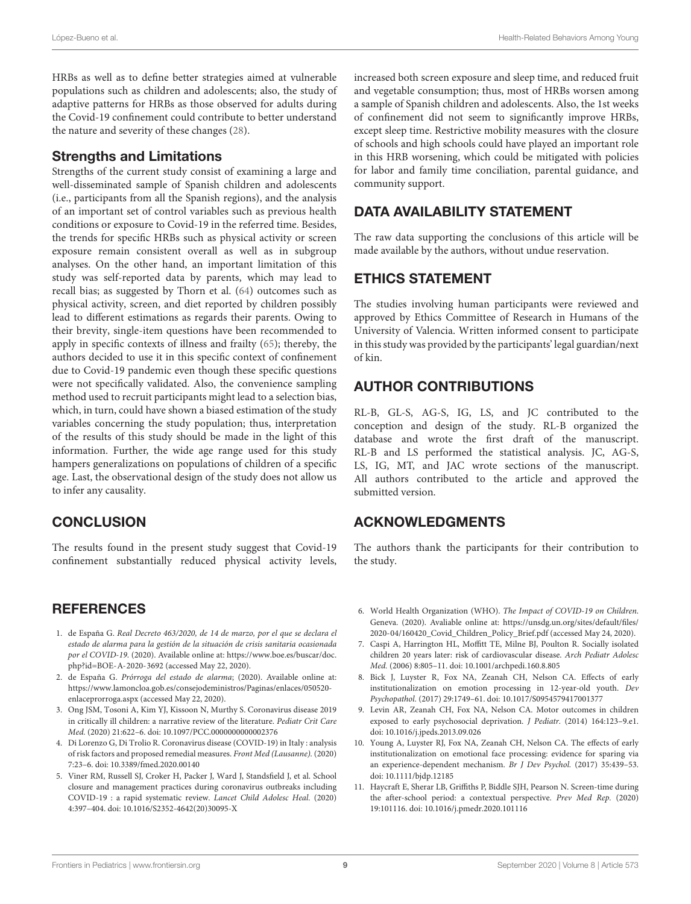HRBs as well as to define better strategies aimed at vulnerable populations such as children and adolescents; also, the study of adaptive patterns for HRBs as those observed for adults during the Covid-19 confinement could contribute to better understand the nature and severity of these changes [\(28\)](#page-9-13).

#### Strengths and Limitations

Strengths of the current study consist of examining a large and well-disseminated sample of Spanish children and adolescents (i.e., participants from all the Spanish regions), and the analysis of an important set of control variables such as previous health conditions or exposure to Covid-19 in the referred time. Besides, the trends for specific HRBs such as physical activity or screen exposure remain consistent overall as well as in subgroup analyses. On the other hand, an important limitation of this study was self-reported data by parents, which may lead to recall bias; as suggested by Thorn et al. [\(64\)](#page-10-11) outcomes such as physical activity, screen, and diet reported by children possibly lead to different estimations as regards their parents. Owing to their brevity, single-item questions have been recommended to apply in specific contexts of illness and frailty [\(65\)](#page-10-12); thereby, the authors decided to use it in this specific context of confinement due to Covid-19 pandemic even though these specific questions were not specifically validated. Also, the convenience sampling method used to recruit participants might lead to a selection bias, which, in turn, could have shown a biased estimation of the study variables concerning the study population; thus, interpretation of the results of this study should be made in the light of this information. Further, the wide age range used for this study hampers generalizations on populations of children of a specific age. Last, the observational design of the study does not allow us to infer any causality.

# **CONCLUSION**

The results found in the present study suggest that Covid-19 confinement substantially reduced physical activity levels,

## **REFERENCES**

- <span id="page-8-0"></span>1. de España G. Real Decreto 463/2020, de 14 de marzo, por el que se declara el estado de alarma para la gestión de la situación de crisis sanitaria ocasionada por el COVID-19. (2020). Available online at: [https://www.boe.es/buscar/doc.](https://www.boe.es/buscar/doc.php?id=BOE-A-2020-3692) [php?id=BOE-A-2020-3692](https://www.boe.es/buscar/doc.php?id=BOE-A-2020-3692) (accessed May 22, 2020).
- <span id="page-8-1"></span>2. de España G. Prórroga del estado de alarma; (2020). Available online at: [https://www.lamoncloa.gob.es/consejodeministros/Paginas/enlaces/050520](https://www.lamoncloa.gob.es/consejodeministros/Paginas/enlaces/050520-enlaceprorroga.aspx) [enlaceprorroga.aspx](https://www.lamoncloa.gob.es/consejodeministros/Paginas/enlaces/050520-enlaceprorroga.aspx) (accessed May 22, 2020).
- <span id="page-8-2"></span>3. Ong JSM, Tosoni A, Kim YJ, Kissoon N, Murthy S. Coronavirus disease 2019 in critically ill children: a narrative review of the literature. Pediatr Crit Care Med. (2020) 21:622–6. doi: [10.1097/PCC.0000000000002376](https://doi.org/10.1097/PCC.0000000000002376)
- <span id="page-8-3"></span>4. Di Lorenzo G, Di Trolio R. Coronavirus disease (COVID-19) in Italy : analysis of risk factors and proposed remedial measures. Front Med (Lausanne). (2020) 7:23–6. doi: [10.3389/fmed.2020.00140](https://doi.org/10.3389/fmed.2020.00140)
- <span id="page-8-4"></span>5. Viner RM, Russell SJ, Croker H, Packer J, Ward J, Standsfield J, et al. School closure and management practices during coronavirus outbreaks including COVID-19 : a rapid systematic review. Lancet Child Adolesc Heal. (2020) 4:397–404. doi: [10.1016/S2352-4642\(20\)30095-X](https://doi.org/10.1016/S2352-4642(20)30095-X)

increased both screen exposure and sleep time, and reduced fruit and vegetable consumption; thus, most of HRBs worsen among a sample of Spanish children and adolescents. Also, the 1st weeks of confinement did not seem to significantly improve HRBs, except sleep time. Restrictive mobility measures with the closure of schools and high schools could have played an important role in this HRB worsening, which could be mitigated with policies for labor and family time conciliation, parental guidance, and community support.

# DATA AVAILABILITY STATEMENT

The raw data supporting the conclusions of this article will be made available by the authors, without undue reservation.

# ETHICS STATEMENT

The studies involving human participants were reviewed and approved by Ethics Committee of Research in Humans of the University of Valencia. Written informed consent to participate in this study was provided by the participants' legal guardian/next of kin.

# AUTHOR CONTRIBUTIONS

RL-B, GL-S, AG-S, IG, LS, and JC contributed to the conception and design of the study. RL-B organized the database and wrote the first draft of the manuscript. RL-B and LS performed the statistical analysis. JC, AG-S, LS, IG, MT, and JAC wrote sections of the manuscript. All authors contributed to the article and approved the submitted version.

## ACKNOWLEDGMENTS

The authors thank the participants for their contribution to the study.

- <span id="page-8-5"></span>6. World Health Organization (WHO). The Impact of COVID-19 on Children. Geneva. (2020). Avaliable online at: [https://unsdg.un.org/sites/default/files/](https://unsdg.un.org/sites/default/files/2020-04/160420_Covid_Children_Policy_Brief.pdf) [2020-04/160420\\_Covid\\_Children\\_Policy\\_Brief.pdf](https://unsdg.un.org/sites/default/files/2020-04/160420_Covid_Children_Policy_Brief.pdf) (accessed May 24, 2020).
- <span id="page-8-6"></span>7. Caspi A, Harrington HL, Moffitt TE, Milne BJ, Poulton R. Socially isolated children 20 years later: risk of cardiovascular disease. Arch Pediatr Adolesc Med. (2006) 8:805–11. doi: [10.1001/archpedi.160.8.805](https://doi.org/10.1001/archpedi.160.8.805)
- 8. Bick J, Luyster R, Fox NA, Zeanah CH, Nelson CA. Effects of early institutionalization on emotion processing in 12-year-old youth. Dev Psychopathol. (2017) 29:1749–61. doi: [10.1017/S0954579417001377](https://doi.org/10.1017/S0954579417001377)
- 9. Levin AR, Zeanah CH, Fox NA, Nelson CA. Motor outcomes in children exposed to early psychosocial deprivation. J Pediatr. (2014) 164:123–9.e1. doi: [10.1016/j.jpeds.2013.09.026](https://doi.org/10.1016/j.jpeds.2013.09.026)
- <span id="page-8-7"></span>10. Young A, Luyster RJ, Fox NA, Zeanah CH, Nelson CA. The effects of early institutionalization on emotional face processing: evidence for sparing via an experience-dependent mechanism. Br J Dev Psychol. (2017) 35:439–53. doi: [10.1111/bjdp.12185](https://doi.org/10.1111/bjdp.12185)
- <span id="page-8-8"></span>11. Haycraft E, Sherar LB, Griffiths P, Biddle SJH, Pearson N. Screen-time during the after-school period: a contextual perspective. Prev Med Rep. (2020) 19:101116. doi: [10.1016/j.pmedr.2020.101116](https://doi.org/10.1016/j.pmedr.2020.101116)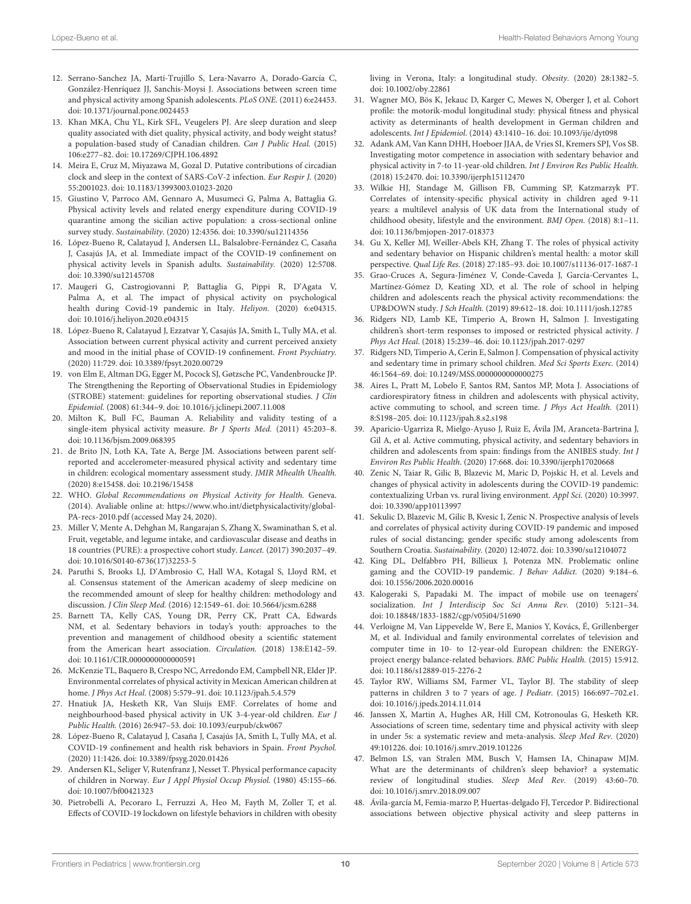- <span id="page-9-0"></span>12. Serrano-Sanchez JA, Martí-Trujillo S, Lera-Navarro A, Dorado-García C, González-Henríquez JJ, Sanchís-Moysi J. Associations between screen time and physical activity among Spanish adolescents. PLoS ONE. (2011) 6:e24453. doi: [10.1371/journal.pone.0024453](https://doi.org/10.1371/journal.pone.0024453)
- <span id="page-9-1"></span>13. Khan MKA, Chu YL, Kirk SFL, Veugelers PJ. Are sleep duration and sleep quality associated with diet quality, physical activity, and body weight status? a population-based study of Canadian children. Can J Public Heal. (2015) 106:e277–82. doi: [10.17269/CJPH.106.4892](https://doi.org/10.17269/CJPH.106.4892)
- <span id="page-9-2"></span>14. Meira E, Cruz M, Miyazawa M, Gozal D. Putative contributions of circadian clock and sleep in the context of SARS-CoV-2 infection. Eur Respir J. (2020) 55:2001023. doi: [10.1183/13993003.01023-2020](https://doi.org/10.1183/13993003.01023-2020)
- <span id="page-9-3"></span>15. Giustino V, Parroco AM, Gennaro A, Musumeci G, Palma A, Battaglia G. Physical activity levels and related energy expenditure during COVID-19 quarantine among the sicilian active population: a cross-sectional online survey study. Sustainability. (2020) 12:4356. doi: [10.3390/su12114356](https://doi.org/10.3390/su12114356)
- <span id="page-9-4"></span>16. López-Bueno R, Calatayud J, Andersen LL, Balsalobre-Fernández C, Casaña J, Casajús JA, et al. Immediate impact of the COVID-19 confinement on physical activity levels in Spanish adults. Sustainability. (2020) 12:5708. doi: [10.3390/su12145708](https://doi.org/10.3390/su12145708)
- <span id="page-9-5"></span>17. Maugeri G, Castrogiovanni P, Battaglia G, Pippi R, D'Agata V, Palma A, et al. The impact of physical activity on psychological health during Covid-19 pandemic in Italy. Heliyon. (2020) 6:e04315. doi: [10.1016/j.heliyon.2020.e04315](https://doi.org/10.1016/j.heliyon.2020.e04315)
- <span id="page-9-6"></span>18. López-Bueno R, Calatayud J, Ezzatvar Y, Casajús JA, Smith L, Tully MA, et al. Association between current physical activity and current perceived anxiety and mood in the initial phase of COVID-19 confinement. Front Psychiatry. (2020) 11:729. doi: [10.3389/fpsyt.2020.00729](https://doi.org/10.3389/fpsyt.2020.00729)
- <span id="page-9-7"></span>19. von Elm E, Altman DG, Egger M, Pocock SJ, Gøtzsche PC, Vandenbroucke JP. The Strengthening the Reporting of Observational Studies in Epidemiology (STROBE) statement: guidelines for reporting observational studies. J Clin Epidemiol. (2008) 61:344–9. doi: [10.1016/j.jclinepi.2007.11.008](https://doi.org/10.1016/j.jclinepi.2007.11.008)
- <span id="page-9-8"></span>20. Milton K, Bull FC, Bauman A. Reliability and validity testing of a single-item physical activity measure. Br J Sports Med. (2011) 45:203–8. doi: [10.1136/bjsm.2009.068395](https://doi.org/10.1136/bjsm.2009.068395)
- <span id="page-9-9"></span>21. de Brito JN, Loth KA, Tate A, Berge JM. Associations between parent selfreported and accelerometer-measured physical activity and sedentary time in children: ecological momentary assessment study. JMIR Mhealth Uhealth. (2020) 8:e15458. doi: [10.2196/15458](https://doi.org/10.2196/15458)
- <span id="page-9-10"></span>22. WHO. Global Recommendations on Physical Activity for Health. Geneva. (2014). Avaliable online at: [https://www.who.int/dietphysicalactivity/global-](https://www.who.int/dietphysicalactivity/global-PA-recs-2010.pdf)[PA-recs-2010.pdf](https://www.who.int/dietphysicalactivity/global-PA-recs-2010.pdf) (accessed May 24, 2020).
- 23. Miller V, Mente A, Dehghan M, Rangarajan S, Zhang X, Swaminathan S, et al. Fruit, vegetable, and legume intake, and cardiovascular disease and deaths in 18 countries (PURE): a prospective cohort study. Lancet. (2017) 390:2037–49. doi: [10.1016/S0140-6736\(17\)32253-5](https://doi.org/10.1016/S0140-6736(17)32253-5)
- 24. Paruthi S, Brooks LJ, D'Ambrosio C, Hall WA, Kotagal S, Lloyd RM, et al. Consensus statement of the American academy of sleep medicine on the recommended amount of sleep for healthy children: methodology and discussion. J Clin Sleep Med. (2016) 12:1549–61. doi: [10.5664/jcsm.6288](https://doi.org/10.5664/jcsm.6288)
- <span id="page-9-11"></span>25. Barnett TA, Kelly CAS, Young DR, Perry CK, Pratt CA, Edwards NM, et al. Sedentary behaviors in today's youth: approaches to the prevention and management of childhood obesity a scientific statement from the American heart association. Circulation. (2018) 138:E142–59. doi: [10.1161/CIR.0000000000000591](https://doi.org/10.1161/CIR.0000000000000591)
- <span id="page-9-12"></span>26. McKenzie TL, Baquero B, Crespo NC, Arredondo EM, Campbell NR, Elder JP. Environmental correlates of physical activity in Mexican American children at home. J Phys Act Heal. (2008) 5:579–91. doi: [10.1123/jpah.5.4.579](https://doi.org/10.1123/jpah.5.4.579)
- 27. Hnatiuk JA, Hesketh KR, Van Sluijs EMF. Correlates of home and neighbourhood-based physical activity in UK 3-4-year-old children. Eur J Public Health. (2016) 26:947–53. doi: [10.1093/eurpub/ckw067](https://doi.org/10.1093/eurpub/ckw067)
- <span id="page-9-13"></span>28. López-Bueno R, Calatayud J, Casaña J, Casajús JA, Smith L, Tully MA, et al. COVID-19 confinement and health risk behaviors in Spain. Front Psychol. (2020) 11:1426. doi: [10.3389/fpsyg.2020.01426](https://doi.org/10.3389/fpsyg.2020.01426)
- <span id="page-9-14"></span>29. Andersen KL, Seliger V, Rutenfranz J, Nesset T. Physical performance capacity of children in Norway. Eur J Appl Physiol Occup Physiol. (1980) 45:155–66. doi: [10.1007/bf00421323](https://doi.org/10.1007/bf00421323)
- <span id="page-9-15"></span>30. Pietrobelli A, Pecoraro L, Ferruzzi A, Heo M, Fayth M, Zoller T, et al. Effects of COVID-19 lockdown on lifestyle behaviors in children with obesity

living in Verona, Italy: a longitudinal study. Obesity. (2020) 28:1382–5. doi: [10.1002/oby.22861](https://doi.org/10.1002/oby.22861)

- 31. Wagner MO, Bös K, Jekauc D, Karger C, Mewes N, Oberger J, et al. Cohort profile: the motorik-modul longitudinal study: physical fitness and physical activity as determinants of health development in German children and adolescents. Int J Epidemiol. (2014) 43:1410–16. doi: [10.1093/ije/dyt098](https://doi.org/10.1093/ije/dyt098)
- <span id="page-9-16"></span>32. Adank AM, Van Kann DHH, Hoeboer JJAA, de Vries SI, Kremers SPJ, Vos SB. Investigating motor competence in association with sedentary behavior and physical activity in 7-to 11-year-old children. Int J Environ Res Public Health. (2018) 15:2470. doi: [10.3390/ijerph15112470](https://doi.org/10.3390/ijerph15112470)
- <span id="page-9-17"></span>33. Wilkie HJ, Standage M, Gillison FB, Cumming SP, Katzmarzyk PT. Correlates of intensity-specific physical activity in children aged 9-11 years: a multilevel analysis of UK data from the International study of childhood obesity, lifestyle and the environment. BMJ Open. (2018) 8:1–11. doi: [10.1136/bmjopen-2017-018373](https://doi.org/10.1136/bmjopen-2017-018373)
- 34. Gu X, Keller MJ, Weiller-Abels KH, Zhang T. The roles of physical activity and sedentary behavior on Hispanic children's mental health: a motor skill perspective. Qual Life Res. (2018) 27:185–93. doi: [10.1007/s11136-017-1687-1](https://doi.org/10.1007/s11136-017-1687-1)
- <span id="page-9-18"></span>35. Grao-Cruces A, Segura-Jiménez V, Conde-Caveda J, García-Cervantes L, Martínez-Gómez D, Keating XD, et al. The role of school in helping children and adolescents reach the physical activity recommendations: the UP&DOWN study. J Sch Health. (2019) 89:612–18. doi: [10.1111/josh.12785](https://doi.org/10.1111/josh.12785)
- <span id="page-9-19"></span>36. Ridgers ND, Lamb KE, Timperio A, Brown H, Salmon J. Investigating children's short-term responses to imposed or restricted physical activity. J Phys Act Heal. (2018) 15:239–46. doi: [10.1123/jpah.2017-0297](https://doi.org/10.1123/jpah.2017-0297)
- <span id="page-9-20"></span>37. Ridgers ND, Timperio A, Cerin E, Salmon J. Compensation of physical activity and sedentary time in primary school children. Med Sci Sports Exerc. (2014) 46:1564–69. doi: [10.1249/MSS.0000000000000275](https://doi.org/10.1249/MSS.0000000000000275)
- <span id="page-9-21"></span>38. Aires L, Pratt M, Lobelo F, Santos RM, Santos MP, Mota J. Associations of cardiorespiratory fitness in children and adolescents with physical activity, active commuting to school, and screen time. J Phys Act Health. (2011) 8:S198–205. doi: [10.1123/jpah.8.s2.s198](https://doi.org/10.1123/jpah.8.s2.s198)
- <span id="page-9-22"></span>39. Aparicio-Ugarriza R, Mielgo-Ayuso J, Ruiz E, Ávila JM, Aranceta-Bartrina J, Gil A, et al. Active commuting, physical activity, and sedentary behaviors in children and adolescents from spain: findings from the ANIBES study. Int J Environ Res Public Health. (2020) 17:668. doi: [10.3390/ijerph17020668](https://doi.org/10.3390/ijerph17020668)
- <span id="page-9-23"></span>40. Zenic N, Taiar R, Gilic B, Blazevic M, Maric D, Pojskic H, et al. Levels and changes of physical activity in adolescents during the COVID-19 pandemic: contextualizing Urban vs. rural living environment. Appl Sci. (2020) 10:3997. doi: [10.3390/app10113997](https://doi.org/10.3390/app10113997)
- <span id="page-9-24"></span>41. Sekulic D, Blazevic M, Gilic B, Kvesic I, Zenic N. Prospective analysis of levels and correlates of physical activity during COVID-19 pandemic and imposed rules of social distancing; gender specific study among adolescents from Southern Croatia. Sustainability. (2020) 12:4072. doi: [10.3390/su12104072](https://doi.org/10.3390/su12104072)
- <span id="page-9-25"></span>42. King DL, Delfabbro PH, Billieux J, Potenza MN. Problematic online gaming and the COVID-19 pandemic. J Behav Addict. (2020) 9:184-6. doi: [10.1556/2006.2020.00016](https://doi.org/10.1556/2006.2020.00016)
- <span id="page-9-26"></span>43. Kalogeraki S, Papadaki M. The impact of mobile use on teenagers' socialization. Int J Interdiscip Soc Sci Annu Rev. (2010) 5:121–34. doi: [10.18848/1833-1882/cgp/v05i04/51690](https://doi.org/10.18848/1833-1882/cgp/v05i04/51690)
- <span id="page-9-27"></span>44. Verloigne M, Van Lippevelde W, Bere E, Manios Y, Kovács, É, Grillenberger M, et al. Individual and family environmental correlates of television and computer time in 10- to 12-year-old European children: the ENERGYproject energy balance-related behaviors. BMC Public Health. (2015) 15:912. doi: [10.1186/s12889-015-2276-2](https://doi.org/10.1186/s12889-015-2276-2)
- <span id="page-9-28"></span>45. Taylor RW, Williams SM, Farmer VL, Taylor BJ. The stability of sleep patterns in children 3 to 7 years of age. *J Pediatr*. (2015) 166:697-702.e1. doi: [10.1016/j.jpeds.2014.11.014](https://doi.org/10.1016/j.jpeds.2014.11.014)
- <span id="page-9-29"></span>46. Janssen X, Martin A, Hughes AR, Hill CM, Kotronoulas G, Hesketh KR. Associations of screen time, sedentary time and physical activity with sleep in under 5s: a systematic review and meta-analysis. Sleep Med Rev. (2020) 49:101226. doi: [10.1016/j.smrv.2019.101226](https://doi.org/10.1016/j.smrv.2019.101226)
- <span id="page-9-30"></span>47. Belmon LS, van Stralen MM, Busch V, Hamsen IA, Chinapaw MJM. What are the determinants of children's sleep behavior? a systematic review of longitudinal studies. Sleep Med Rev. (2019) 43:60–70. doi: [10.1016/j.smrv.2018.09.007](https://doi.org/10.1016/j.smrv.2018.09.007)
- <span id="page-9-31"></span>48. Ávila-garcía M, Femia-marzo P, Huertas-delgado FJ, Tercedor P. Bidirectional associations between objective physical activity and sleep patterns in